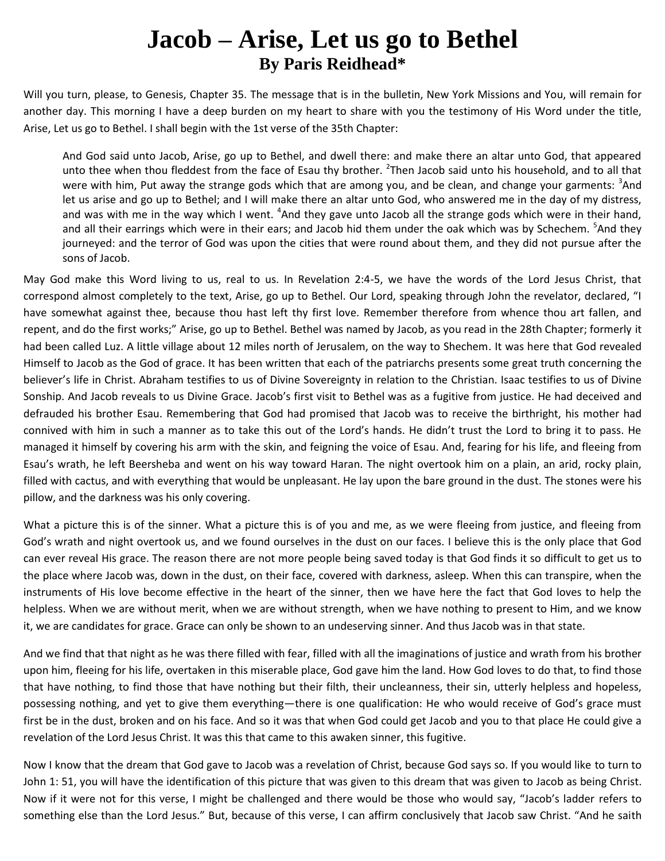## **Jacob – Arise, Let us go to Bethel By Paris Reidhead\***

Will you turn, please, to Genesis, Chapter 35. The message that is in the bulletin, New York Missions and You, will remain for another day. This morning I have a deep burden on my heart to share with you the testimony of His Word under the title, Arise, Let us go to Bethel. I shall begin with the 1st verse of the 35th Chapter:

And God said unto Jacob, Arise, go up to Bethel, and dwell there: and make there an altar unto God, that appeared unto thee when thou fleddest from the face of Esau thy brother. <sup>2</sup>Then Jacob said unto his household, and to all that were with him, Put away the strange gods which that are among you, and be clean, and change your garments: <sup>3</sup>And let us arise and go up to Bethel; and I will make there an altar unto God, who answered me in the day of my distress, and was with me in the way which I went. <sup>4</sup>And they gave unto Jacob all the strange gods which were in their hand, and all their earrings which were in their ears; and Jacob hid them under the oak which was by Schechem. <sup>5</sup>And they journeyed: and the terror of God was upon the cities that were round about them, and they did not pursue after the sons of Jacob.

May God make this Word living to us, real to us. In Revelation 2:4-5, we have the words of the Lord Jesus Christ, that correspond almost completely to the text, Arise, go up to Bethel. Our Lord, speaking through John the revelator, declared, "I have somewhat against thee, because thou hast left thy first love. Remember therefore from whence thou art fallen, and repent, and do the first works;" Arise, go up to Bethel. Bethel was named by Jacob, as you read in the 28th Chapter; formerly it had been called Luz. A little village about 12 miles north of Jerusalem, on the way to Shechem. It was here that God revealed Himself to Jacob as the God of grace. It has been written that each of the patriarchs presents some great truth concerning the believer's life in Christ. Abraham testifies to us of Divine Sovereignty in relation to the Christian. Isaac testifies to us of Divine Sonship. And Jacob reveals to us Divine Grace. Jacob's first visit to Bethel was as a fugitive from justice. He had deceived and defrauded his brother Esau. Remembering that God had promised that Jacob was to receive the birthright, his mother had connived with him in such a manner as to take this out of the Lord's hands. He didn't trust the Lord to bring it to pass. He managed it himself by covering his arm with the skin, and feigning the voice of Esau. And, fearing for his life, and fleeing from Esau's wrath, he left Beersheba and went on his way toward Haran. The night overtook him on a plain, an arid, rocky plain, filled with cactus, and with everything that would be unpleasant. He lay upon the bare ground in the dust. The stones were his pillow, and the darkness was his only covering.

What a picture this is of the sinner. What a picture this is of you and me, as we were fleeing from justice, and fleeing from God's wrath and night overtook us, and we found ourselves in the dust on our faces. I believe this is the only place that God can ever reveal His grace. The reason there are not more people being saved today is that God finds it so difficult to get us to the place where Jacob was, down in the dust, on their face, covered with darkness, asleep. When this can transpire, when the instruments of His love become effective in the heart of the sinner, then we have here the fact that God loves to help the helpless. When we are without merit, when we are without strength, when we have nothing to present to Him, and we know it, we are candidates for grace. Grace can only be shown to an undeserving sinner. And thus Jacob was in that state.

And we find that that night as he was there filled with fear, filled with all the imaginations of justice and wrath from his brother upon him, fleeing for his life, overtaken in this miserable place, God gave him the land. How God loves to do that, to find those that have nothing, to find those that have nothing but their filth, their uncleanness, their sin, utterly helpless and hopeless, possessing nothing, and yet to give them everything—there is one qualification: He who would receive of God's grace must first be in the dust, broken and on his face. And so it was that when God could get Jacob and you to that place He could give a revelation of the Lord Jesus Christ. It was this that came to this awaken sinner, this fugitive.

Now I know that the dream that God gave to Jacob was a revelation of Christ, because God says so. If you would like to turn to John 1: 51, you will have the identification of this picture that was given to this dream that was given to Jacob as being Christ. Now if it were not for this verse, I might be challenged and there would be those who would say, "Jacob's ladder refers to something else than the Lord Jesus." But, because of this verse, I can affirm conclusively that Jacob saw Christ. "And he saith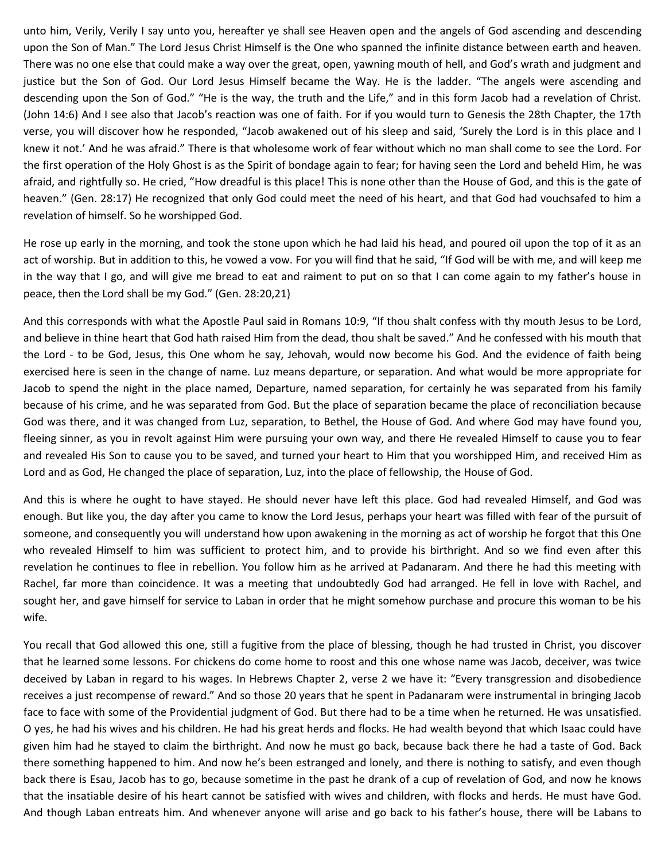unto him, Verily, Verily I say unto you, hereafter ye shall see Heaven open and the angels of God ascending and descending upon the Son of Man." The Lord Jesus Christ Himself is the One who spanned the infinite distance between earth and heaven. There was no one else that could make a way over the great, open, yawning mouth of hell, and God's wrath and judgment and justice but the Son of God. Our Lord Jesus Himself became the Way. He is the ladder. "The angels were ascending and descending upon the Son of God." "He is the way, the truth and the Life," and in this form Jacob had a revelation of Christ. (John 14:6) And I see also that Jacob's reaction was one of faith. For if you would turn to Genesis the 28th Chapter, the 17th verse, you will discover how he responded, "Jacob awakened out of his sleep and said, 'Surely the Lord is in this place and I knew it not.' And he was afraid." There is that wholesome work of fear without which no man shall come to see the Lord. For the first operation of the Holy Ghost is as the Spirit of bondage again to fear; for having seen the Lord and beheld Him, he was afraid, and rightfully so. He cried, "How dreadful is this place! This is none other than the House of God, and this is the gate of heaven." (Gen. 28:17) He recognized that only God could meet the need of his heart, and that God had vouchsafed to him a revelation of himself. So he worshipped God.

He rose up early in the morning, and took the stone upon which he had laid his head, and poured oil upon the top of it as an act of worship. But in addition to this, he vowed a vow. For you will find that he said, "If God will be with me, and will keep me in the way that I go, and will give me bread to eat and raiment to put on so that I can come again to my father's house in peace, then the Lord shall be my God." (Gen. 28:20,21)

And this corresponds with what the Apostle Paul said in Romans 10:9, "If thou shalt confess with thy mouth Jesus to be Lord, and believe in thine heart that God hath raised Him from the dead, thou shalt be saved." And he confessed with his mouth that the Lord - to be God, Jesus, this One whom he say, Jehovah, would now become his God. And the evidence of faith being exercised here is seen in the change of name. Luz means departure, or separation. And what would be more appropriate for Jacob to spend the night in the place named, Departure, named separation, for certainly he was separated from his family because of his crime, and he was separated from God. But the place of separation became the place of reconciliation because God was there, and it was changed from Luz, separation, to Bethel, the House of God. And where God may have found you, fleeing sinner, as you in revolt against Him were pursuing your own way, and there He revealed Himself to cause you to fear and revealed His Son to cause you to be saved, and turned your heart to Him that you worshipped Him, and received Him as Lord and as God, He changed the place of separation, Luz, into the place of fellowship, the House of God.

And this is where he ought to have stayed. He should never have left this place. God had revealed Himself, and God was enough. But like you, the day after you came to know the Lord Jesus, perhaps your heart was filled with fear of the pursuit of someone, and consequently you will understand how upon awakening in the morning as act of worship he forgot that this One who revealed Himself to him was sufficient to protect him, and to provide his birthright. And so we find even after this revelation he continues to flee in rebellion. You follow him as he arrived at Padanaram. And there he had this meeting with Rachel, far more than coincidence. It was a meeting that undoubtedly God had arranged. He fell in love with Rachel, and sought her, and gave himself for service to Laban in order that he might somehow purchase and procure this woman to be his wife.

You recall that God allowed this one, still a fugitive from the place of blessing, though he had trusted in Christ, you discover that he learned some lessons. For chickens do come home to roost and this one whose name was Jacob, deceiver, was twice deceived by Laban in regard to his wages. In Hebrews Chapter 2, verse 2 we have it: "Every transgression and disobedience receives a just recompense of reward." And so those 20 years that he spent in Padanaram were instrumental in bringing Jacob face to face with some of the Providential judgment of God. But there had to be a time when he returned. He was unsatisfied. O yes, he had his wives and his children. He had his great herds and flocks. He had wealth beyond that which Isaac could have given him had he stayed to claim the birthright. And now he must go back, because back there he had a taste of God. Back there something happened to him. And now he's been estranged and lonely, and there is nothing to satisfy, and even though back there is Esau, Jacob has to go, because sometime in the past he drank of a cup of revelation of God, and now he knows that the insatiable desire of his heart cannot be satisfied with wives and children, with flocks and herds. He must have God. And though Laban entreats him. And whenever anyone will arise and go back to his father's house, there will be Labans to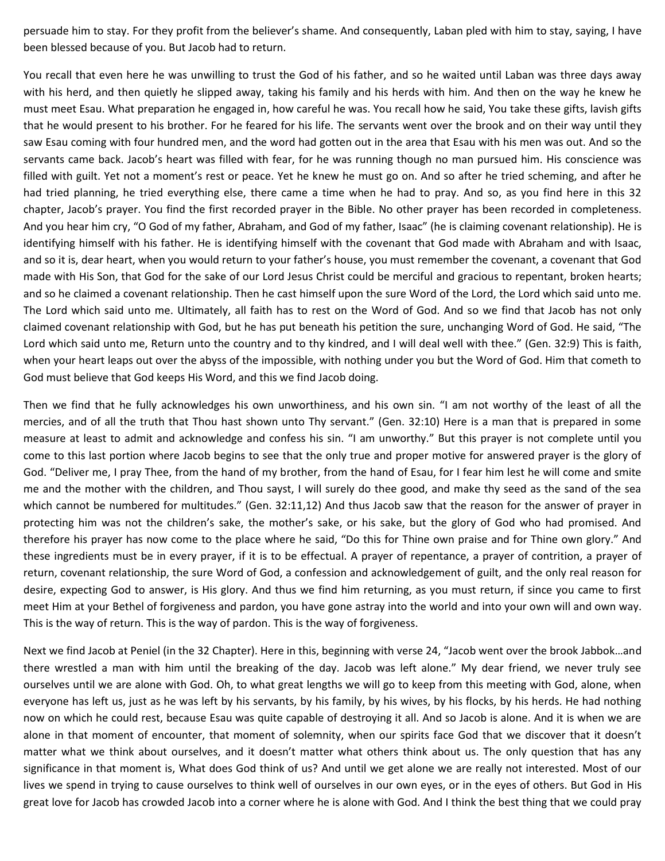persuade him to stay. For they profit from the believer's shame. And consequently, Laban pled with him to stay, saying, I have been blessed because of you. But Jacob had to return.

You recall that even here he was unwilling to trust the God of his father, and so he waited until Laban was three days away with his herd, and then quietly he slipped away, taking his family and his herds with him. And then on the way he knew he must meet Esau. What preparation he engaged in, how careful he was. You recall how he said, You take these gifts, lavish gifts that he would present to his brother. For he feared for his life. The servants went over the brook and on their way until they saw Esau coming with four hundred men, and the word had gotten out in the area that Esau with his men was out. And so the servants came back. Jacob's heart was filled with fear, for he was running though no man pursued him. His conscience was filled with guilt. Yet not a moment's rest or peace. Yet he knew he must go on. And so after he tried scheming, and after he had tried planning, he tried everything else, there came a time when he had to pray. And so, as you find here in this 32 chapter, Jacob's prayer. You find the first recorded prayer in the Bible. No other prayer has been recorded in completeness. And you hear him cry, "O God of my father, Abraham, and God of my father, Isaac" (he is claiming covenant relationship). He is identifying himself with his father. He is identifying himself with the covenant that God made with Abraham and with Isaac, and so it is, dear heart, when you would return to your father's house, you must remember the covenant, a covenant that God made with His Son, that God for the sake of our Lord Jesus Christ could be merciful and gracious to repentant, broken hearts; and so he claimed a covenant relationship. Then he cast himself upon the sure Word of the Lord, the Lord which said unto me. The Lord which said unto me. Ultimately, all faith has to rest on the Word of God. And so we find that Jacob has not only claimed covenant relationship with God, but he has put beneath his petition the sure, unchanging Word of God. He said, "The Lord which said unto me, Return unto the country and to thy kindred, and I will deal well with thee." (Gen. 32:9) This is faith, when your heart leaps out over the abyss of the impossible, with nothing under you but the Word of God. Him that cometh to God must believe that God keeps His Word, and this we find Jacob doing.

Then we find that he fully acknowledges his own unworthiness, and his own sin. "I am not worthy of the least of all the mercies, and of all the truth that Thou hast shown unto Thy servant." (Gen. 32:10) Here is a man that is prepared in some measure at least to admit and acknowledge and confess his sin. "I am unworthy." But this prayer is not complete until you come to this last portion where Jacob begins to see that the only true and proper motive for answered prayer is the glory of God. "Deliver me, I pray Thee, from the hand of my brother, from the hand of Esau, for I fear him lest he will come and smite me and the mother with the children, and Thou sayst, I will surely do thee good, and make thy seed as the sand of the sea which cannot be numbered for multitudes." (Gen. 32:11,12) And thus Jacob saw that the reason for the answer of prayer in protecting him was not the children's sake, the mother's sake, or his sake, but the glory of God who had promised. And therefore his prayer has now come to the place where he said, "Do this for Thine own praise and for Thine own glory." And these ingredients must be in every prayer, if it is to be effectual. A prayer of repentance, a prayer of contrition, a prayer of return, covenant relationship, the sure Word of God, a confession and acknowledgement of guilt, and the only real reason for desire, expecting God to answer, is His glory. And thus we find him returning, as you must return, if since you came to first meet Him at your Bethel of forgiveness and pardon, you have gone astray into the world and into your own will and own way. This is the way of return. This is the way of pardon. This is the way of forgiveness.

Next we find Jacob at Peniel (in the 32 Chapter). Here in this, beginning with verse 24, "Jacob went over the brook Jabbok…and there wrestled a man with him until the breaking of the day. Jacob was left alone." My dear friend, we never truly see ourselves until we are alone with God. Oh, to what great lengths we will go to keep from this meeting with God, alone, when everyone has left us, just as he was left by his servants, by his family, by his wives, by his flocks, by his herds. He had nothing now on which he could rest, because Esau was quite capable of destroying it all. And so Jacob is alone. And it is when we are alone in that moment of encounter, that moment of solemnity, when our spirits face God that we discover that it doesn't matter what we think about ourselves, and it doesn't matter what others think about us. The only question that has any significance in that moment is, What does God think of us? And until we get alone we are really not interested. Most of our lives we spend in trying to cause ourselves to think well of ourselves in our own eyes, or in the eyes of others. But God in His great love for Jacob has crowded Jacob into a corner where he is alone with God. And I think the best thing that we could pray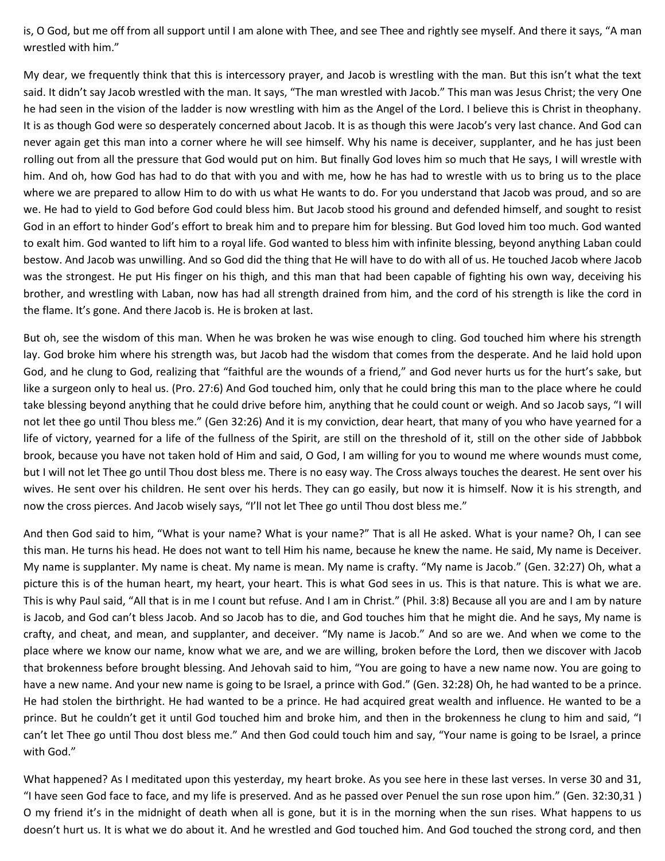is, O God, but me off from all support until I am alone with Thee, and see Thee and rightly see myself. And there it says, "A man wrestled with him."

My dear, we frequently think that this is intercessory prayer, and Jacob is wrestling with the man. But this isn't what the text said. It didn't say Jacob wrestled with the man. It says, "The man wrestled with Jacob." This man was Jesus Christ; the very One he had seen in the vision of the ladder is now wrestling with him as the Angel of the Lord. I believe this is Christ in theophany. It is as though God were so desperately concerned about Jacob. It is as though this were Jacob's very last chance. And God can never again get this man into a corner where he will see himself. Why his name is deceiver, supplanter, and he has just been rolling out from all the pressure that God would put on him. But finally God loves him so much that He says, I will wrestle with him. And oh, how God has had to do that with you and with me, how he has had to wrestle with us to bring us to the place where we are prepared to allow Him to do with us what He wants to do. For you understand that Jacob was proud, and so are we. He had to yield to God before God could bless him. But Jacob stood his ground and defended himself, and sought to resist God in an effort to hinder God's effort to break him and to prepare him for blessing. But God loved him too much. God wanted to exalt him. God wanted to lift him to a royal life. God wanted to bless him with infinite blessing, beyond anything Laban could bestow. And Jacob was unwilling. And so God did the thing that He will have to do with all of us. He touched Jacob where Jacob was the strongest. He put His finger on his thigh, and this man that had been capable of fighting his own way, deceiving his brother, and wrestling with Laban, now has had all strength drained from him, and the cord of his strength is like the cord in the flame. It's gone. And there Jacob is. He is broken at last.

But oh, see the wisdom of this man. When he was broken he was wise enough to cling. God touched him where his strength lay. God broke him where his strength was, but Jacob had the wisdom that comes from the desperate. And he laid hold upon God, and he clung to God, realizing that "faithful are the wounds of a friend," and God never hurts us for the hurt's sake, but like a surgeon only to heal us. (Pro. 27:6) And God touched him, only that he could bring this man to the place where he could take blessing beyond anything that he could drive before him, anything that he could count or weigh. And so Jacob says, "I will not let thee go until Thou bless me." (Gen 32:26) And it is my conviction, dear heart, that many of you who have yearned for a life of victory, yearned for a life of the fullness of the Spirit, are still on the threshold of it, still on the other side of Jabbbok brook, because you have not taken hold of Him and said, O God, I am willing for you to wound me where wounds must come, but I will not let Thee go until Thou dost bless me. There is no easy way. The Cross always touches the dearest. He sent over his wives. He sent over his children. He sent over his herds. They can go easily, but now it is himself. Now it is his strength, and now the cross pierces. And Jacob wisely says, "I'll not let Thee go until Thou dost bless me."

And then God said to him, "What is your name? What is your name?" That is all He asked. What is your name? Oh, I can see this man. He turns his head. He does not want to tell Him his name, because he knew the name. He said, My name is Deceiver. My name is supplanter. My name is cheat. My name is mean. My name is crafty. "My name is Jacob." (Gen. 32:27) Oh, what a picture this is of the human heart, my heart, your heart. This is what God sees in us. This is that nature. This is what we are. This is why Paul said, "All that is in me I count but refuse. And I am in Christ." (Phil. 3:8) Because all you are and I am by nature is Jacob, and God can't bless Jacob. And so Jacob has to die, and God touches him that he might die. And he says, My name is crafty, and cheat, and mean, and supplanter, and deceiver. "My name is Jacob." And so are we. And when we come to the place where we know our name, know what we are, and we are willing, broken before the Lord, then we discover with Jacob that brokenness before brought blessing. And Jehovah said to him, "You are going to have a new name now. You are going to have a new name. And your new name is going to be Israel, a prince with God." (Gen. 32:28) Oh, he had wanted to be a prince. He had stolen the birthright. He had wanted to be a prince. He had acquired great wealth and influence. He wanted to be a prince. But he couldn't get it until God touched him and broke him, and then in the brokenness he clung to him and said, "I can't let Thee go until Thou dost bless me." And then God could touch him and say, "Your name is going to be Israel, a prince with God."

What happened? As I meditated upon this yesterday, my heart broke. As you see here in these last verses. In verse 30 and 31, "I have seen God face to face, and my life is preserved. And as he passed over Penuel the sun rose upon him." (Gen. 32:30,31 ) O my friend it's in the midnight of death when all is gone, but it is in the morning when the sun rises. What happens to us doesn't hurt us. It is what we do about it. And he wrestled and God touched him. And God touched the strong cord, and then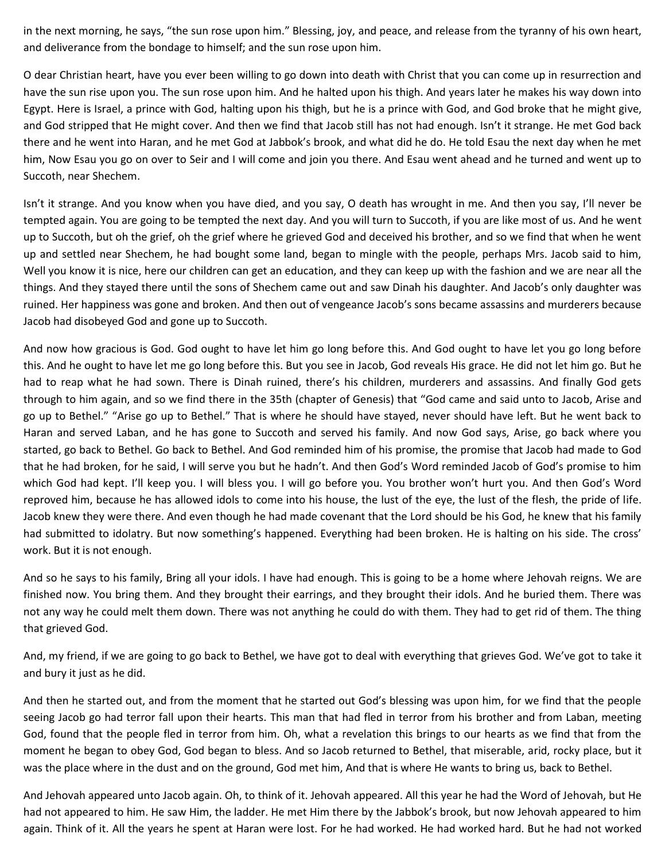in the next morning, he says, "the sun rose upon him." Blessing, joy, and peace, and release from the tyranny of his own heart, and deliverance from the bondage to himself; and the sun rose upon him.

O dear Christian heart, have you ever been willing to go down into death with Christ that you can come up in resurrection and have the sun rise upon you. The sun rose upon him. And he halted upon his thigh. And years later he makes his way down into Egypt. Here is Israel, a prince with God, halting upon his thigh, but he is a prince with God, and God broke that he might give, and God stripped that He might cover. And then we find that Jacob still has not had enough. Isn't it strange. He met God back there and he went into Haran, and he met God at Jabbok's brook, and what did he do. He told Esau the next day when he met him, Now Esau you go on over to Seir and I will come and join you there. And Esau went ahead and he turned and went up to Succoth, near Shechem.

Isn't it strange. And you know when you have died, and you say, O death has wrought in me. And then you say, I'll never be tempted again. You are going to be tempted the next day. And you will turn to Succoth, if you are like most of us. And he went up to Succoth, but oh the grief, oh the grief where he grieved God and deceived his brother, and so we find that when he went up and settled near Shechem, he had bought some land, began to mingle with the people, perhaps Mrs. Jacob said to him, Well you know it is nice, here our children can get an education, and they can keep up with the fashion and we are near all the things. And they stayed there until the sons of Shechem came out and saw Dinah his daughter. And Jacob's only daughter was ruined. Her happiness was gone and broken. And then out of vengeance Jacob's sons became assassins and murderers because Jacob had disobeyed God and gone up to Succoth.

And now how gracious is God. God ought to have let him go long before this. And God ought to have let you go long before this. And he ought to have let me go long before this. But you see in Jacob, God reveals His grace. He did not let him go. But he had to reap what he had sown. There is Dinah ruined, there's his children, murderers and assassins. And finally God gets through to him again, and so we find there in the 35th (chapter of Genesis) that "God came and said unto to Jacob, Arise and go up to Bethel." "Arise go up to Bethel." That is where he should have stayed, never should have left. But he went back to Haran and served Laban, and he has gone to Succoth and served his family. And now God says, Arise, go back where you started, go back to Bethel. Go back to Bethel. And God reminded him of his promise, the promise that Jacob had made to God that he had broken, for he said, I will serve you but he hadn't. And then God's Word reminded Jacob of God's promise to him which God had kept. I'll keep you. I will bless you. I will go before you. You brother won't hurt you. And then God's Word reproved him, because he has allowed idols to come into his house, the lust of the eye, the lust of the flesh, the pride of life. Jacob knew they were there. And even though he had made covenant that the Lord should be his God, he knew that his family had submitted to idolatry. But now something's happened. Everything had been broken. He is halting on his side. The cross' work. But it is not enough.

And so he says to his family, Bring all your idols. I have had enough. This is going to be a home where Jehovah reigns. We are finished now. You bring them. And they brought their earrings, and they brought their idols. And he buried them. There was not any way he could melt them down. There was not anything he could do with them. They had to get rid of them. The thing that grieved God.

And, my friend, if we are going to go back to Bethel, we have got to deal with everything that grieves God. We've got to take it and bury it just as he did.

And then he started out, and from the moment that he started out God's blessing was upon him, for we find that the people seeing Jacob go had terror fall upon their hearts. This man that had fled in terror from his brother and from Laban, meeting God, found that the people fled in terror from him. Oh, what a revelation this brings to our hearts as we find that from the moment he began to obey God, God began to bless. And so Jacob returned to Bethel, that miserable, arid, rocky place, but it was the place where in the dust and on the ground, God met him, And that is where He wants to bring us, back to Bethel.

And Jehovah appeared unto Jacob again. Oh, to think of it. Jehovah appeared. All this year he had the Word of Jehovah, but He had not appeared to him. He saw Him, the ladder. He met Him there by the Jabbok's brook, but now Jehovah appeared to him again. Think of it. All the years he spent at Haran were lost. For he had worked. He had worked hard. But he had not worked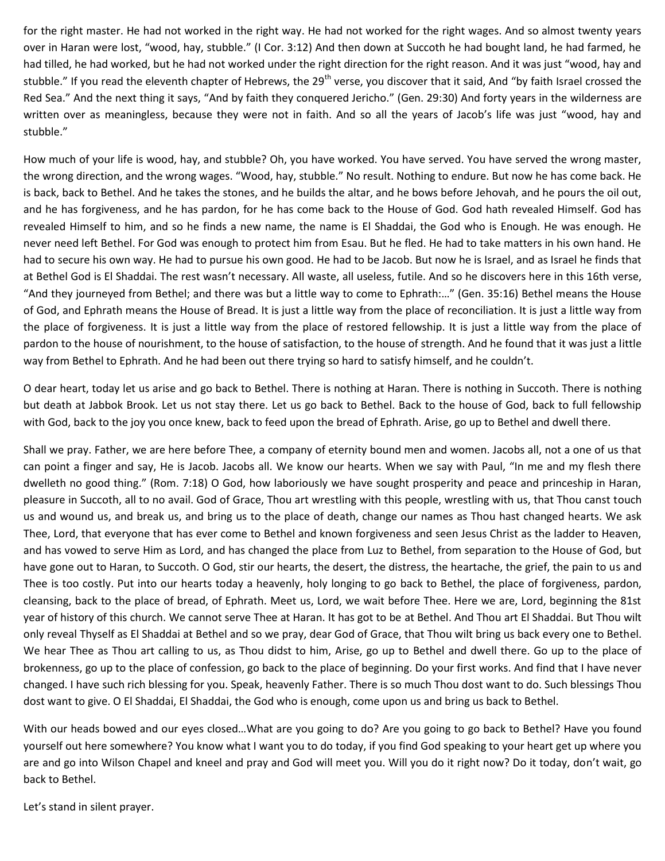for the right master. He had not worked in the right way. He had not worked for the right wages. And so almost twenty years over in Haran were lost, "wood, hay, stubble." (I Cor. 3:12) And then down at Succoth he had bought land, he had farmed, he had tilled, he had worked, but he had not worked under the right direction for the right reason. And it was just "wood, hay and stubble." If you read the eleventh chapter of Hebrews, the 29<sup>th</sup> verse, you discover that it said, And "by faith Israel crossed the Red Sea." And the next thing it says, "And by faith they conquered Jericho." (Gen. 29:30) And forty years in the wilderness are written over as meaningless, because they were not in faith. And so all the years of Jacob's life was just "wood, hay and stubble."

How much of your life is wood, hay, and stubble? Oh, you have worked. You have served. You have served the wrong master, the wrong direction, and the wrong wages. "Wood, hay, stubble." No result. Nothing to endure. But now he has come back. He is back, back to Bethel. And he takes the stones, and he builds the altar, and he bows before Jehovah, and he pours the oil out, and he has forgiveness, and he has pardon, for he has come back to the House of God. God hath revealed Himself. God has revealed Himself to him, and so he finds a new name, the name is El Shaddai, the God who is Enough. He was enough. He never need left Bethel. For God was enough to protect him from Esau. But he fled. He had to take matters in his own hand. He had to secure his own way. He had to pursue his own good. He had to be Jacob. But now he is Israel, and as Israel he finds that at Bethel God is El Shaddai. The rest wasn't necessary. All waste, all useless, futile. And so he discovers here in this 16th verse, "And they journeyed from Bethel; and there was but a little way to come to Ephrath:…" (Gen. 35:16) Bethel means the House of God, and Ephrath means the House of Bread. It is just a little way from the place of reconciliation. It is just a little way from the place of forgiveness. It is just a little way from the place of restored fellowship. It is just a little way from the place of pardon to the house of nourishment, to the house of satisfaction, to the house of strength. And he found that it was just a little way from Bethel to Ephrath. And he had been out there trying so hard to satisfy himself, and he couldn't.

O dear heart, today let us arise and go back to Bethel. There is nothing at Haran. There is nothing in Succoth. There is nothing but death at Jabbok Brook. Let us not stay there. Let us go back to Bethel. Back to the house of God, back to full fellowship with God, back to the joy you once knew, back to feed upon the bread of Ephrath. Arise, go up to Bethel and dwell there.

Shall we pray. Father, we are here before Thee, a company of eternity bound men and women. Jacobs all, not a one of us that can point a finger and say, He is Jacob. Jacobs all. We know our hearts. When we say with Paul, "In me and my flesh there dwelleth no good thing." (Rom. 7:18) O God, how laboriously we have sought prosperity and peace and princeship in Haran, pleasure in Succoth, all to no avail. God of Grace, Thou art wrestling with this people, wrestling with us, that Thou canst touch us and wound us, and break us, and bring us to the place of death, change our names as Thou hast changed hearts. We ask Thee, Lord, that everyone that has ever come to Bethel and known forgiveness and seen Jesus Christ as the ladder to Heaven, and has vowed to serve Him as Lord, and has changed the place from Luz to Bethel, from separation to the House of God, but have gone out to Haran, to Succoth. O God, stir our hearts, the desert, the distress, the heartache, the grief, the pain to us and Thee is too costly. Put into our hearts today a heavenly, holy longing to go back to Bethel, the place of forgiveness, pardon, cleansing, back to the place of bread, of Ephrath. Meet us, Lord, we wait before Thee. Here we are, Lord, beginning the 81st year of history of this church. We cannot serve Thee at Haran. It has got to be at Bethel. And Thou art El Shaddai. But Thou wilt only reveal Thyself as El Shaddai at Bethel and so we pray, dear God of Grace, that Thou wilt bring us back every one to Bethel. We hear Thee as Thou art calling to us, as Thou didst to him, Arise, go up to Bethel and dwell there. Go up to the place of brokenness, go up to the place of confession, go back to the place of beginning. Do your first works. And find that I have never changed. I have such rich blessing for you. Speak, heavenly Father. There is so much Thou dost want to do. Such blessings Thou dost want to give. O El Shaddai, El Shaddai, the God who is enough, come upon us and bring us back to Bethel.

With our heads bowed and our eyes closed…What are you going to do? Are you going to go back to Bethel? Have you found yourself out here somewhere? You know what I want you to do today, if you find God speaking to your heart get up where you are and go into Wilson Chapel and kneel and pray and God will meet you. Will you do it right now? Do it today, don't wait, go back to Bethel.

Let's stand in silent prayer.